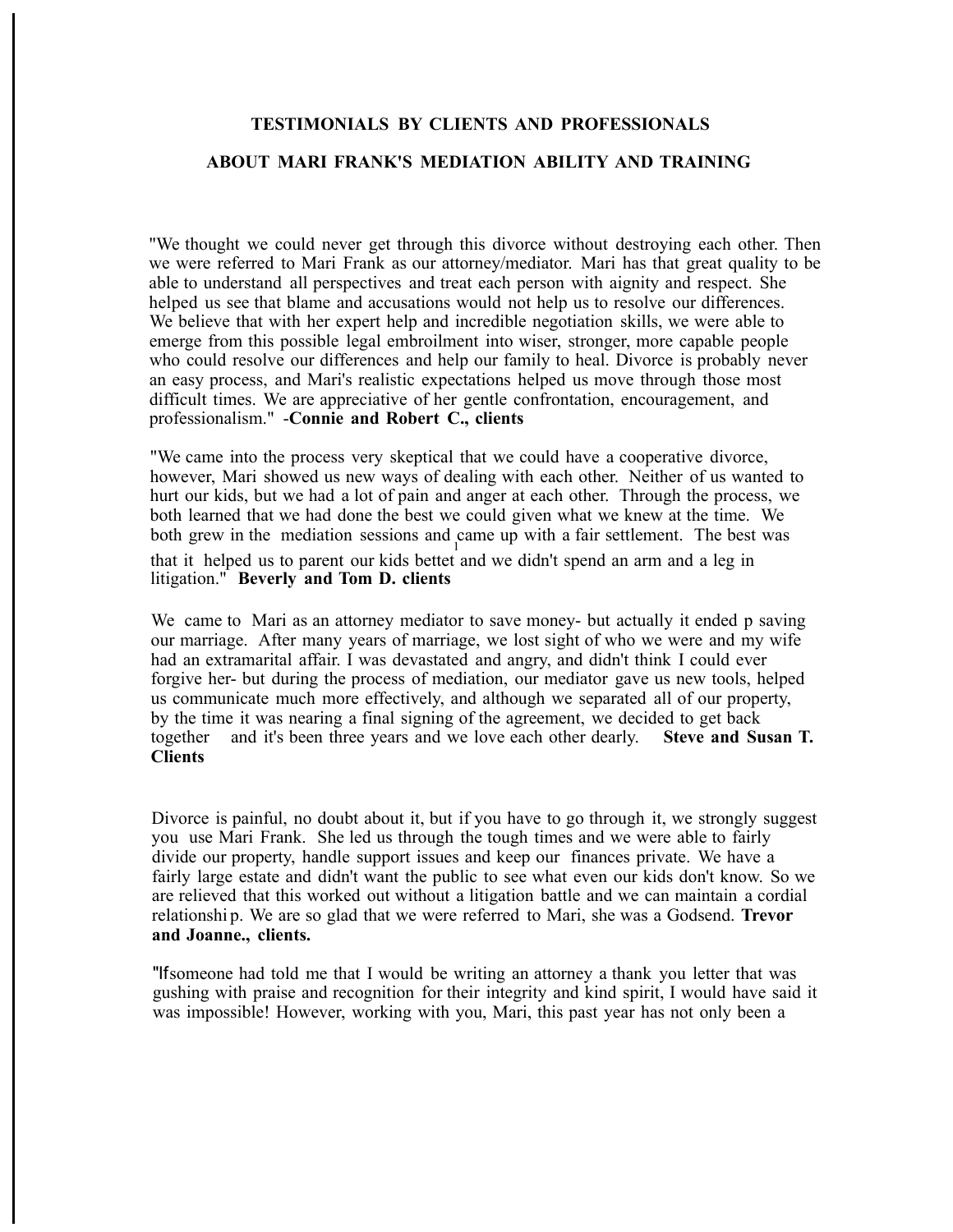## **TESTIMONIALS BY CLIENTS AND PROFESSIONALS**

## **ABOUT MARI FRANK'S MEDIATION ABILITY AND TRAINING**

"We thought we could never get through this divorce without destroying each other. Then we were referred to Mari Frank as our attorney/mediator. Mari has that great quality to be able to understand all perspectives and treat each person with aignity and respect. She helped us see that blame and accusations would not help us to resolve our differences. We believe that with her expert help and incredible negotiation skills, we were able to emerge from this possible legal embroilment into wiser, stronger, more capable people who could resolve our differences and help our family to heal. Divorce is probably never an easy process, and Mari's realistic expectations helped us move through those most difficult times. We are appreciative of her gentle confrontation, encouragement, and professionalism." -**Connie and Robert C., clients**

"We came into the process very skeptical that we could have a cooperative divorce, however, Mari showed us new ways of dealing with each other. Neither of us wanted to hurt our kids, but we had a lot of pain and anger at each other. Through the process, we both learned that we had done the best we could given what we knew at the time. We both grew in the mediation sessions and came up with a fair settlement. The best was that it helped us to parent our kids bettet and we didn't spend an arm and a leg in litigation." **Beverly and Tom D. clients**

We came to Mari as an attorney mediator to save money- but actually it ended p saving our marriage. After many years of marriage, we lost sight of who we were and my wife had an extramarital affair. I was devastated and angry, and didn't think I could ever forgive her- but during the process of mediation, our mediator gave us new tools, helped us communicate much more effectively, and although we separated all of our property, by the time it was nearing a final signing of the agreement, we decided to get back together and it's been three years and we love each other dearly. **Steve and Susan T. Clients**

Divorce is painful, no doubt about it, but if you have to go through it, we strongly suggest you use Mari Frank. She led us through the tough times and we were able to fairly divide our property, handle support issues and keep our finances private. We have a fairly large estate and didn't want the public to see what even our kids don't know. So we are relieved that this worked out without a litigation battle and we can maintain a cordial relationshi p. We are so glad that we were referred to Mari, she was a Godsend. **Trevor and Joanne., clients.**

"Ifsomeone had told me that I would be writing an attorney a thank you letter that was gushing with praise and recognition for their integrity and kind spirit, I would have said it was impossible! However, working with you, Mari, this past year has not only been a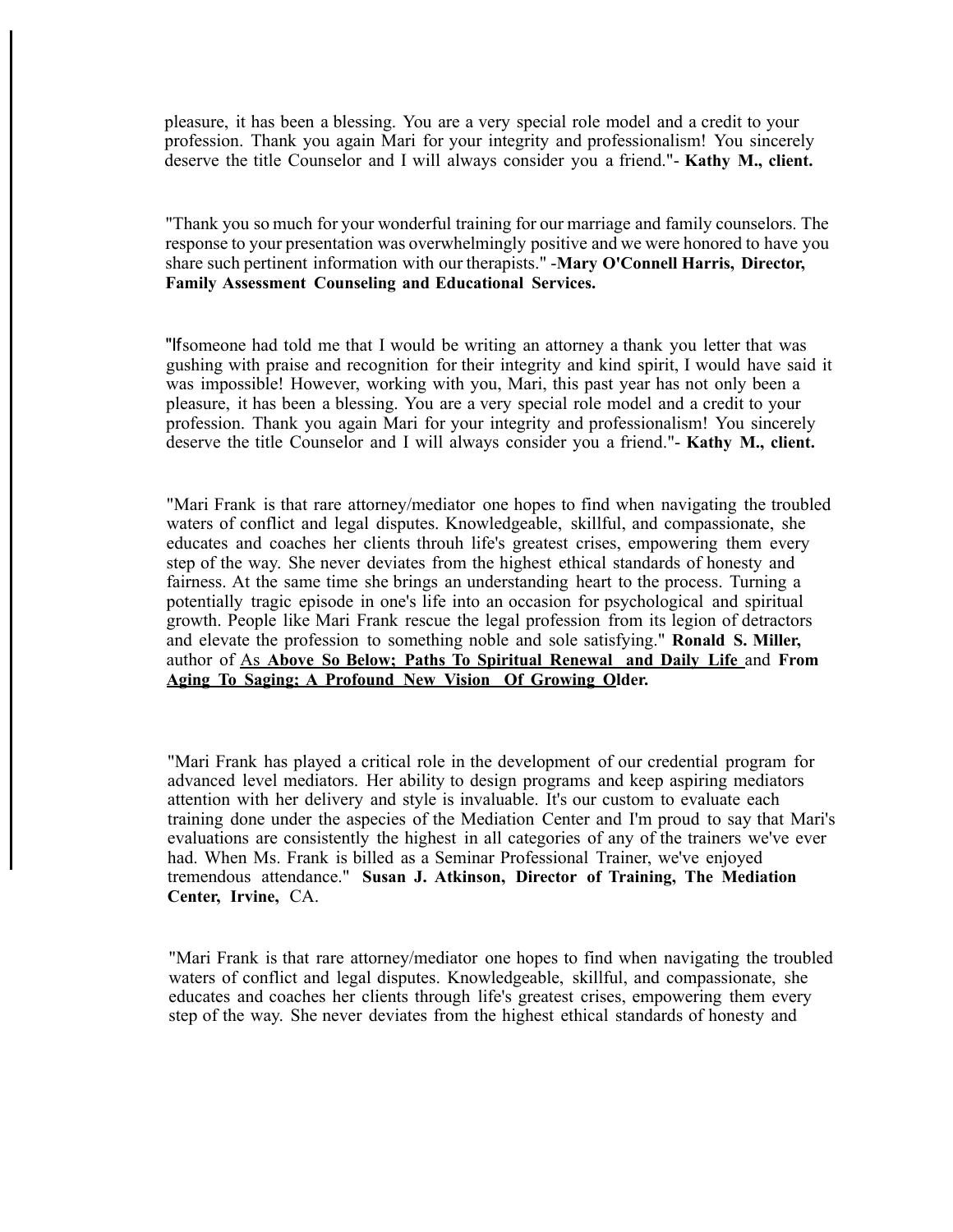pleasure, it has been a blessing. You are a very special role model and a credit to your profession. Thank you again Mari for your integrity and professionalism! You sincerely deserve the title Counselor and I will always consider you a friend."- **Kathy M., client.**

"Thank you so much for your wonderful training for our marriage and family counselors. The response to your presentation was overwhelmingly positive and we were honored to have you share such pertinent information with our therapists." -**Mary O'Connell Harris, Director, Family Assessment Counseling and Educational Services.**

"Ifsomeone had told me that I would be writing an attorney a thank you letter that was gushing with praise and recognition for their integrity and kind spirit, I would have said it was impossible! However, working with you, Mari, this past year has not only been a pleasure, it has been a blessing. You are a very special role model and a credit to your profession. Thank you again Mari for your integrity and professionalism! You sincerely deserve the title Counselor and I will always consider you a friend."- **Kathy M., client.**

"Mari Frank is that rare attorney/mediator one hopes to find when navigating the troubled waters of conflict and legal disputes. Knowledgeable, skillful, and compassionate, she educates and coaches her clients throuh life's greatest crises, empowering them every step of the way. She never deviates from the highest ethical standards of honesty and fairness. At the same time she brings an understanding heart to the process. Turning a potentially tragic episode in one's life into an occasion for psychological and spiritual growth. People like Mari Frank rescue the legal profession from its legion of detractors and elevate the profession to something noble and sole satisfying." **Ronald S. Miller,**  author of As **Above So Below; Paths To Spiritual Renewal and Daily Life** and **From Aging To Saging; A Profound New Vision Of Growing Older.**

"Mari Frank has played a critical role in the development of our credential program for advanced level mediators. Her ability to design programs and keep aspiring mediators attention with her delivery and style is invaluable. It's our custom to evaluate each training done under the aspecies of the Mediation Center and I'm proud to say that Mari's evaluations are consistently the highest in all categories of any of the trainers we've ever had. When Ms. Frank is billed as a Seminar Professional Trainer, we've enjoyed tremendous attendance." **Susan J. Atkinson, Director of Training, The Mediation Center, Irvine,** CA.

"Mari Frank is that rare attorney/mediator one hopes to find when navigating the troubled waters of conflict and legal disputes. Knowledgeable, skillful, and compassionate, she educates and coaches her clients through life's greatest crises, empowering them every step of the way. She never deviates from the highest ethical standards of honesty and